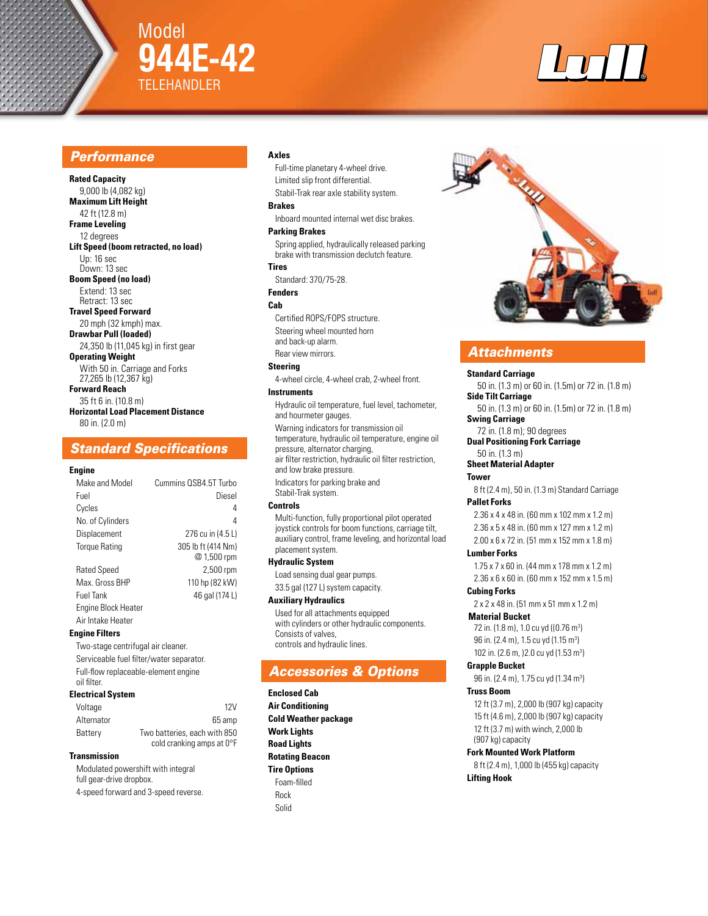





## *Performance*

**Rated Capacity** 9,000 lb (4,082 kg) **Maximum Lift Height** 42 ft (12.8 m) **Frame Leveling**  12 degrees **Lift Speed (boom retracted, no load)** Up: 16 sec Down: 13 sec **Boom Speed (no load)** Extend: 13 sec Retract: 13 sec **Travel Speed Forward** 20 mph (32 kmph) max. **Drawbar Pull (loaded)** 24,350 lb (11,045 kg) in first gear **Operating Weight** With 50 in. Carriage and Forks 27,265 lb (12,367 kg) **Forward Reach** 35 ft 6 in. (10.8 m) **Horizontal Load Placement Distance** 80 in. (2.0 m)

## *Standard Specifications*

## **Engine**

| Make and Model       | Cummins OSB4.5T Turbo |
|----------------------|-----------------------|
| Fuel                 | Diesel                |
| Cycles               | 4                     |
| No. of Cylinders     | 4                     |
| Displacement         | 276 cu in (4.5 L)     |
| <b>Torque Rating</b> | 305 lb ft (414 Nm)    |
|                      | @ 1,500 rpm           |
| Rated Speed          | 2,500 rpm             |
| Max. Gross BHP       | 110 hp (82 kW)        |
| <b>Fuel Tank</b>     | 46 gal (174 L)        |
| Engine Block Heater  |                       |
| Air Intake Heater    |                       |

## **Engine Filters**

Two-stage centrifugal air cleaner. Serviceable fuel filter/water separator. Full-flow replaceable-element engine oil filter.

## **Electrical System**

| Voltage    | 12V                          |
|------------|------------------------------|
| Alternator | 65 amp                       |
| Battery    | Two batteries, each with 850 |
|            | cold cranking amps at 0°F    |

#### **Transmission**

Modulated powershift with integral full gear-drive dropbox.

4-speed forward and 3-speed reverse.

## **Axles**

Full-time planetary 4-wheel drive. Limited slip front differential. Stabil-Trak rear axle stability system.

#### **Brakes**

Inboard mounted internal wet disc brakes. **Parking Brakes**

Spring applied, hydraulically released parking brake with transmission declutch feature.

## **Tires**

Standard: 370/75-28.

## **Fenders**

#### **Cab**

Certified ROPS/FOPS structure. Steering wheel mounted horn and back-up alarm.

#### Rear view mirrors. **Steering**

4-wheel circle, 4-wheel crab, 2-wheel front. **Instruments**

Hydraulic oil temperature, fuel level, tachometer, and hourmeter gauges.

Warning indicators for transmission oil temperature, hydraulic oil temperature, engine oil

pressure, alternator charging, air filter restriction, hydraulic oil filter restriction,

and low brake pressure. Indicators for parking brake and

Stabil-Trak system.

## **Controls**

Multi-function, fully proportional pilot operated joystick controls for boom functions, carriage tilt, auxiliary control, frame leveling, and horizontal load placement system.

## **Hydraulic System**

Load sensing dual gear pumps. 33.5 gal (127 L) system capacity.

## **Auxiliary Hydraulics**

Used for all attachments equipped with cylinders or other hydraulic components. Consists of valves, controls and hydraulic lines.

## *Accessories & Options*

**Enclosed Cab Air Conditioning Cold Weather package Work Lights Road Lights Rotating Beacon Tire Options** Foam-filled Rock Solid



## *Attachments*

#### **Standard Carriage**

50 in. (1.3 m) or 60 in. (1.5m) or 72 in. (1.8 m) **Side Tilt Carriage**

50 in. (1.3 m) or 60 in. (1.5m) or 72 in. (1.8 m) **Swing Carriage**

## 72 in. (1.8 m); 90 degrees

**Dual Positioning Fork Carriage** 50 in. (1.3 m)

## **Sheet Material Adapter**

**Tower**

## 8 ft (2.4 m), 50 in. (1.3 m) Standard Carriage

## **Pallet Forks**

2.36 x 4 x 48 in. (60 mm x 102 mm x 1.2 m) 2.36 x 5 x 48 in. (60 mm x 127 mm x 1.2 m)

2.00 x 6 x 72 in. (51 mm x 152 mm x 1.8 m) **Lumber Forks** 

1.75 x 7 x 60 in. (44 mm x 178 mm x 1.2 m) 2.36 x 6 x 60 in. (60 mm x 152 mm x 1.5 m)

## **Cubing Forks**

2 x 2 x 48 in. (51 mm x 51 mm x 1.2 m)

## **Material Bucket**

72 in. (1.8 m), 1.0 cu yd ((0.76 m<sup>3</sup>) 96 in. (2.4 m), 1.5 cu yd (1.15 m<sup>3</sup>) 102 in. (2.6 m, )2.0 cu yd (1.53 m<sup>3</sup>)

## **Grapple Bucket**

96 in. (2.4 m), 1.75 cu yd (1.34 m<sup>3</sup>)

## **Truss Boom**

12 ft (3.7 m), 2,000 lb (907 kg) capacity 15 ft (4.6 m), 2,000 lb (907 kg) capacity 12 ft (3.7 m) with winch, 2,000 lb (907 kg) capacity

## **Fork Mounted Work Platform**

8 ft (2.4 m), 1,000 lb (455 kg) capacity **Lifting Hook**